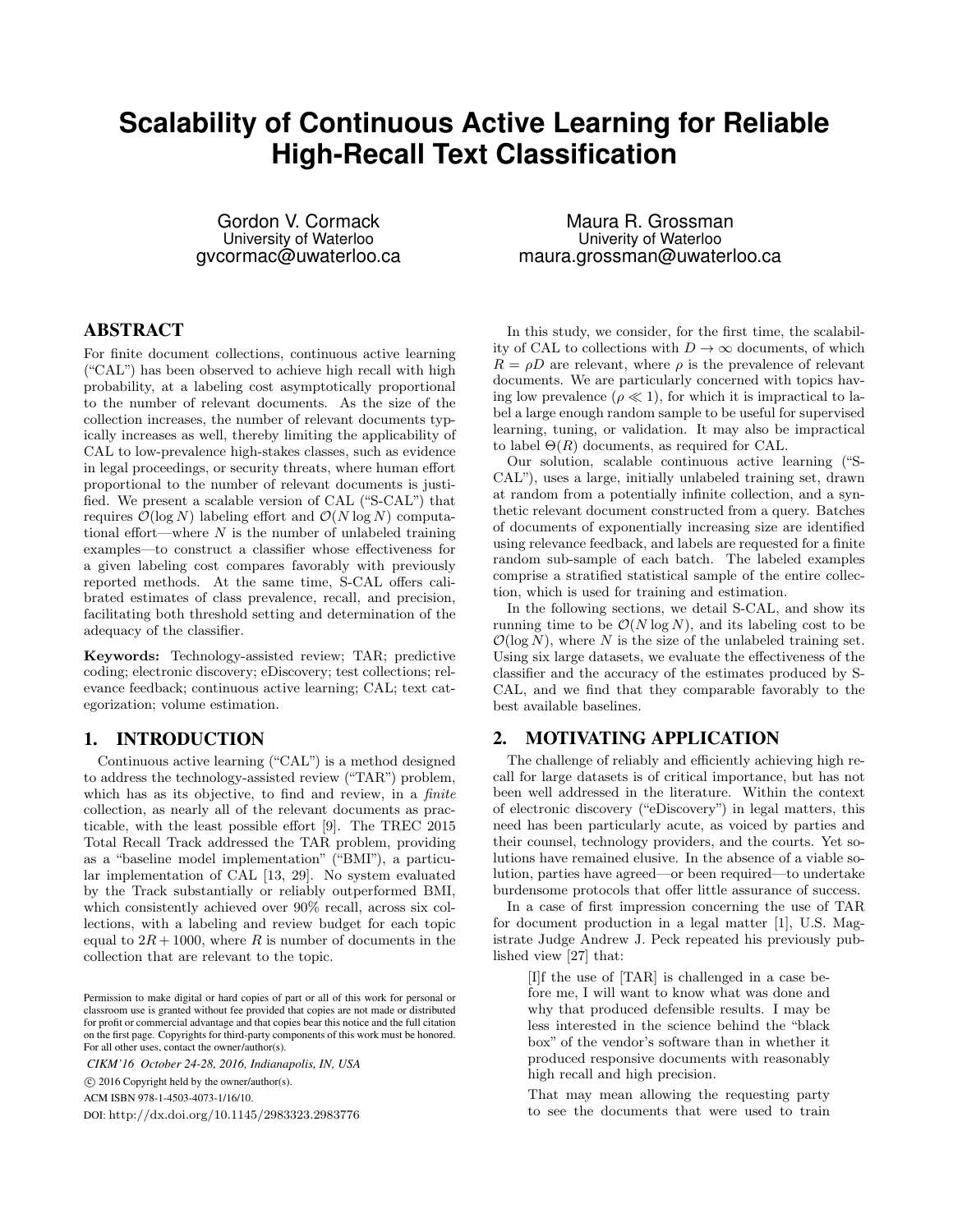# **Scalability of Continuous Active Learning for Reliable High-Recall Text Classification**

Gordon V. Cormack University of Waterloo gvcormac@uwaterloo.ca

### ABSTRACT

For finite document collections, continuous active learning ("CAL") has been observed to achieve high recall with high probability, at a labeling cost asymptotically proportional to the number of relevant documents. As the size of the collection increases, the number of relevant documents typically increases as well, thereby limiting the applicability of CAL to low-prevalence high-stakes classes, such as evidence in legal proceedings, or security threats, where human effort proportional to the number of relevant documents is justified. We present a scalable version of CAL ("S-CAL") that requires  $\mathcal{O}(\log N)$  labeling effort and  $\mathcal{O}(N \log N)$  computational effort—where  $N$  is the number of unlabeled training examples—to construct a classifier whose effectiveness for a given labeling cost compares favorably with previously reported methods. At the same time, S-CAL offers calibrated estimates of class prevalence, recall, and precision, facilitating both threshold setting and determination of the adequacy of the classifier.

Keywords: Technology-assisted review; TAR; predictive coding; electronic discovery; eDiscovery; test collections; relevance feedback; continuous active learning; CAL; text categorization; volume estimation.

### 1. INTRODUCTION

Continuous active learning ("CAL") is a method designed to address the technology-assisted review ("TAR") problem, which has as its objective, to find and review, in a *finite* collection, as nearly all of the relevant documents as practicable, with the least possible effort [9]. The TREC 2015 Total Recall Track addressed the TAR problem, providing as a "baseline model implementation" ("BMI"), a particular implementation of CAL [13, 29]. No system evaluated by the Track substantially or reliably outperformed BMI, which consistently achieved over 90% recall, across six collections, with a labeling and review budget for each topic equal to  $2R + 1000$ , where R is number of documents in the collection that are relevant to the topic.

*CIKM'16 October 24-28, 2016, Indianapolis, IN, USA*

c 2016 Copyright held by the owner/author(s).

ACM ISBN 978-1-4503-4073-1/16/10.

DOI: http://dx.doi.org/10.1145/2983323.2983776

Maura R. Grossman Univerity of Waterloo maura.grossman@uwaterloo.ca

In this study, we consider, for the first time, the scalability of CAL to collections with  $D \to \infty$  documents, of which  $R = \rho D$  are relevant, where  $\rho$  is the prevalence of relevant documents. We are particularly concerned with topics having low prevalence  $(\rho \ll 1)$ , for which it is impractical to label a large enough random sample to be useful for supervised learning, tuning, or validation. It may also be impractical to label  $\Theta(R)$  documents, as required for CAL.

Our solution, scalable continuous active learning ("S-CAL"), uses a large, initially unlabeled training set, drawn at random from a potentially infinite collection, and a synthetic relevant document constructed from a query. Batches of documents of exponentially increasing size are identified using relevance feedback, and labels are requested for a finite random sub-sample of each batch. The labeled examples comprise a stratified statistical sample of the entire collection, which is used for training and estimation.

In the following sections, we detail S-CAL, and show its running time to be  $\mathcal{O}(N \log N)$ , and its labeling cost to be  $\mathcal{O}(\log N)$ , where N is the size of the unlabeled training set. Using six large datasets, we evaluate the effectiveness of the classifier and the accuracy of the estimates produced by S-CAL, and we find that they comparable favorably to the best available baselines.

# 2. MOTIVATING APPLICATION

The challenge of reliably and efficiently achieving high recall for large datasets is of critical importance, but has not been well addressed in the literature. Within the context of electronic discovery ("eDiscovery") in legal matters, this need has been particularly acute, as voiced by parties and their counsel, technology providers, and the courts. Yet solutions have remained elusive. In the absence of a viable solution, parties have agreed—or been required—to undertake burdensome protocols that offer little assurance of success.

In a case of first impression concerning the use of TAR for document production in a legal matter [1], U.S. Magistrate Judge Andrew J. Peck repeated his previously published view [27] that:

[I]f the use of [TAR] is challenged in a case before me, I will want to know what was done and why that produced defensible results. I may be less interested in the science behind the "black box" of the vendor's software than in whether it produced responsive documents with reasonably high recall and high precision.

That may mean allowing the requesting party to see the documents that were used to train

Permission to make digital or hard copies of part or all of this work for personal or classroom use is granted without fee provided that copies are not made or distributed for profit or commercial advantage and that copies bear this notice and the full citation on the first page. Copyrights for third-party components of this work must be honored. For all other uses, contact the owner/author(s).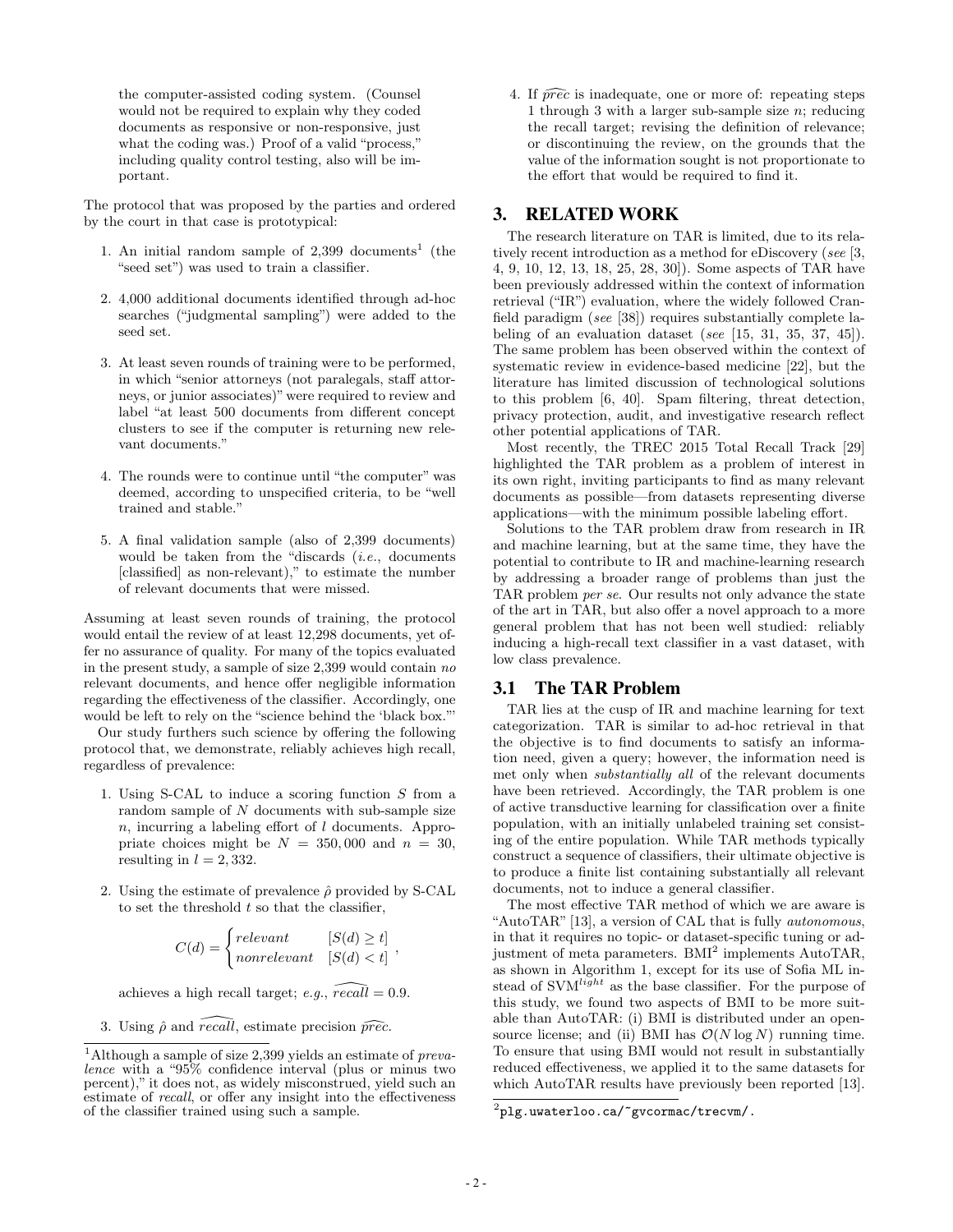the computer-assisted coding system. (Counsel would not be required to explain why they coded documents as responsive or non-responsive, just what the coding was.) Proof of a valid "process," including quality control testing, also will be important.

The protocol that was proposed by the parties and ordered by the court in that case is prototypical:

- 1. An initial random sample of  $2,399$  documents<sup>1</sup> (the "seed set") was used to train a classifier.
- 2. 4,000 additional documents identified through ad-hoc searches ("judgmental sampling") were added to the seed set.
- 3. At least seven rounds of training were to be performed, in which "senior attorneys (not paralegals, staff attorneys, or junior associates)" were required to review and label "at least 500 documents from different concept clusters to see if the computer is returning new relevant documents."
- 4. The rounds were to continue until "the computer" was deemed, according to unspecified criteria, to be "well trained and stable."
- 5. A final validation sample (also of 2,399 documents) would be taken from the "discards  $(i.e.,$  documents [classified] as non-relevant)," to estimate the number of relevant documents that were missed.

Assuming at least seven rounds of training, the protocol would entail the review of at least 12,298 documents, yet offer no assurance of quality. For many of the topics evaluated in the present study, a sample of size 2,399 would contain no relevant documents, and hence offer negligible information regarding the effectiveness of the classifier. Accordingly, one would be left to rely on the "science behind the 'black box."'

Our study furthers such science by offering the following protocol that, we demonstrate, reliably achieves high recall, regardless of prevalence:

- 1. Using S-CAL to induce a scoring function S from a random sample of  $N$  documents with sub-sample size  $n$ , incurring a labeling effort of  $l$  documents. Appropriate choices might be  $N = 350,000$  and  $n = 30$ , resulting in  $l = 2,332$ .
- 2. Using the estimate of prevalence  $\hat{\rho}$  provided by S-CAL to set the threshold  $t$  so that the classifier,

$$
C(d) = \begin{cases} relevant & [S(d) \ge t] \\ nonrelevant & [S(d) < t] \end{cases},
$$

achieves a high recall target; e.g.,  $\overline{recall} = 0.9$ .

3. Using  $\hat{\rho}$  and recall, estimate precision prec.

4. If  $\widehat{prec}$  is inadequate, one or more of: repeating steps 1 through 3 with a larger sub-sample size  $n$ ; reducing the recall target; revising the definition of relevance; or discontinuing the review, on the grounds that the value of the information sought is not proportionate to the effort that would be required to find it.

# 3. RELATED WORK

The research literature on TAR is limited, due to its relatively recent introduction as a method for eDiscovery (see [3, 4, 9, 10, 12, 13, 18, 25, 28, 30]). Some aspects of TAR have been previously addressed within the context of information retrieval ("IR") evaluation, where the widely followed Cranfield paradigm (see [38]) requires substantially complete labeling of an evaluation dataset (see  $[15, 31, 35, 37, 45]$ ). The same problem has been observed within the context of systematic review in evidence-based medicine [22], but the literature has limited discussion of technological solutions to this problem [6, 40]. Spam filtering, threat detection, privacy protection, audit, and investigative research reflect other potential applications of TAR.

Most recently, the TREC 2015 Total Recall Track [29] highlighted the TAR problem as a problem of interest in its own right, inviting participants to find as many relevant documents as possible—from datasets representing diverse applications—with the minimum possible labeling effort.

Solutions to the TAR problem draw from research in IR and machine learning, but at the same time, they have the potential to contribute to IR and machine-learning research by addressing a broader range of problems than just the TAR problem per se. Our results not only advance the state of the art in TAR, but also offer a novel approach to a more general problem that has not been well studied: reliably inducing a high-recall text classifier in a vast dataset, with low class prevalence.

### 3.1 The TAR Problem

TAR lies at the cusp of IR and machine learning for text categorization. TAR is similar to ad-hoc retrieval in that the objective is to find documents to satisfy an information need, given a query; however, the information need is met only when substantially all of the relevant documents have been retrieved. Accordingly, the TAR problem is one of active transductive learning for classification over a finite population, with an initially unlabeled training set consisting of the entire population. While TAR methods typically construct a sequence of classifiers, their ultimate objective is to produce a finite list containing substantially all relevant documents, not to induce a general classifier.

The most effective TAR method of which we are aware is "AutoTAR" [13], a version of CAL that is fully autonomous, in that it requires no topic- or dataset-specific tuning or adjustment of meta parameters. BMI<sup>2</sup> implements AutoTAR, as shown in Algorithm 1, except for its use of Sofia ML instead of  $\text{SVM}^{l\bar{i}ght}$  as the base classifier. For the purpose of this study, we found two aspects of BMI to be more suitable than AutoTAR: (i) BMI is distributed under an opensource license; and (ii) BMI has  $\mathcal{O}(N \log N)$  running time. To ensure that using BMI would not result in substantially reduced effectiveness, we applied it to the same datasets for which AutoTAR results have previously been reported [13].

<sup>&</sup>lt;sup>1</sup>Although a sample of size 2,399 yields an estimate of  $preva$ lence with a "95% confidence interval (plus or minus two percent)," it does not, as widely misconstrued, yield such an estimate of recall, or offer any insight into the effectiveness of the classifier trained using such a sample.

 $^{2}$ plg.uwaterloo.ca/~gvcormac/trecvm/.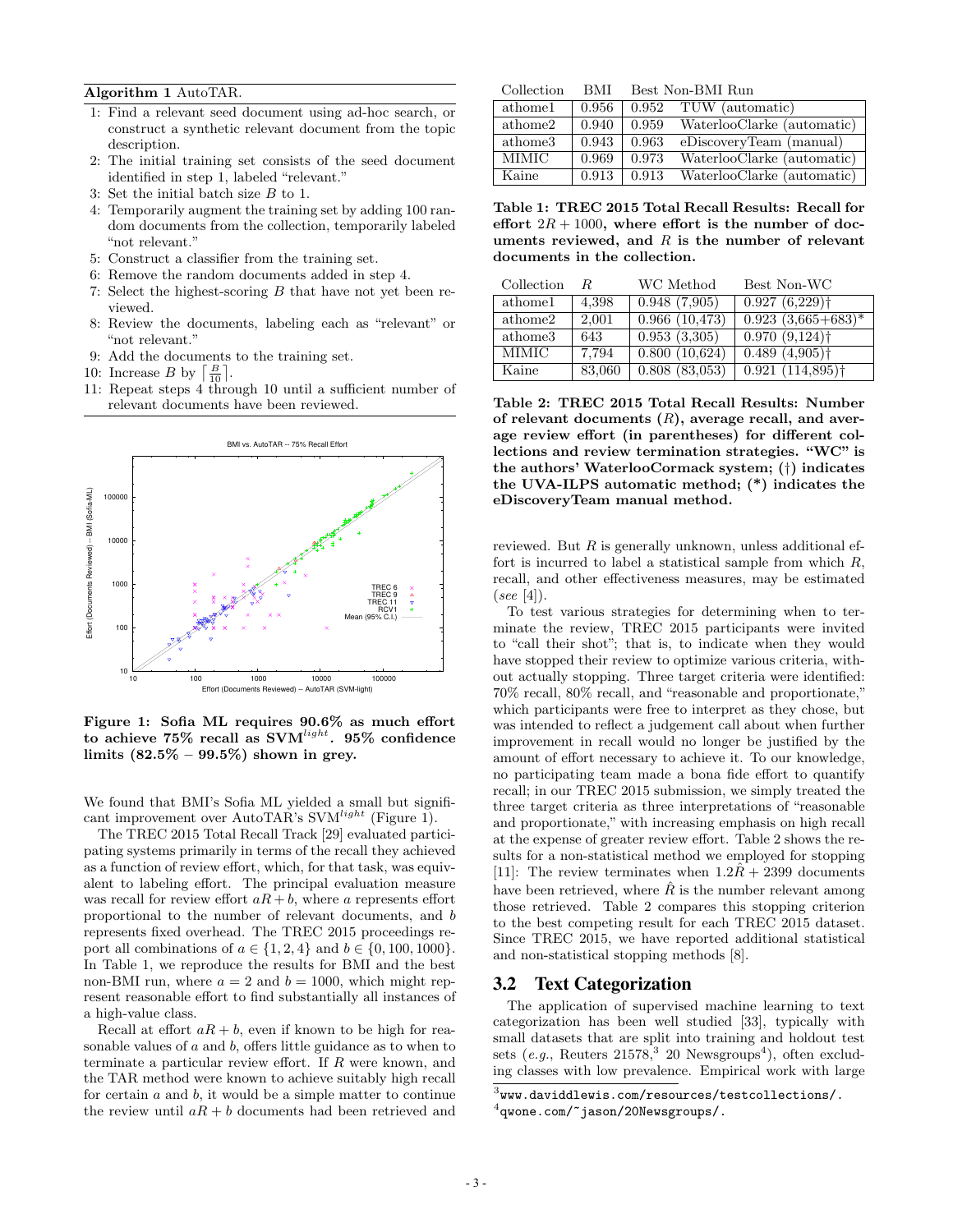Algorithm 1 AutoTAR.

- 1: Find a relevant seed document using ad-hoc search, or construct a synthetic relevant document from the topic description.
- 2: The initial training set consists of the seed document identified in step 1, labeled "relevant."
- 3: Set the initial batch size B to 1.
- 4: Temporarily augment the training set by adding 100 random documents from the collection, temporarily labeled "not relevant."
- 5: Construct a classifier from the training set.
- 6: Remove the random documents added in step 4.
- 7: Select the highest-scoring B that have not yet been reviewed.
- 8: Review the documents, labeling each as "relevant" or "not relevant."
- 9: Add the documents to the training set.
- 10: Increase  $B$  by  $\left\lceil \frac{B}{10} \right\rceil$ .
- 11: Repeat steps 4 through 10 until a sufficient number of relevant documents have been reviewed.



Figure 1: Sofia ML requires 90.6% as much effort to achieve 75% recall as  $\mathrm{SVM}^{light}$ . 95% confidence limits  $(82.5\% - 99.5\%)$  shown in grey.

We found that BMI's Sofia ML yielded a small but significant improvement over AutoTAR's  $SVM^{light}$  (Figure 1).

The TREC 2015 Total Recall Track [29] evaluated participating systems primarily in terms of the recall they achieved as a function of review effort, which, for that task, was equivalent to labeling effort. The principal evaluation measure was recall for review effort  $aR + b$ , where a represents effort proportional to the number of relevant documents, and b represents fixed overhead. The TREC 2015 proceedings report all combinations of  $a \in \{1, 2, 4\}$  and  $b \in \{0, 100, 1000\}$ . In Table 1, we reproduce the results for BMI and the best non-BMI run, where  $a = 2$  and  $b = 1000$ , which might represent reasonable effort to find substantially all instances of a high-value class.

Recall at effort  $aR + b$ , even if known to be high for reasonable values of  $a$  and  $b$ , offers little guidance as to when to terminate a particular review effort. If R were known, and the TAR method were known to achieve suitably high recall for certain  $a$  and  $b$ , it would be a simple matter to continue the review until  $aR + b$  documents had been retrieved and

| Collection   | BMI   | Best Non-BMI Run                    |
|--------------|-------|-------------------------------------|
| athome1      | 0.956 | 0.952 TUW (automatic)               |
| athome2      | 0.940 | WaterlooClarke (automatic)<br>0.959 |
| at home 3    | 0.943 | eDiscoveryTeam (manual)<br>0.963    |
| <b>MIMIC</b> | 0.969 | WaterlooClarke (automatic)<br>0.973 |
| Kaine        | 0.913 | WaterlooClarke (automatic)<br>0.913 |

Table 1: TREC 2015 Total Recall Results: Recall for effort  $2R + 1000$ , where effort is the number of documents reviewed, and  $R$  is the number of relevant documents in the collection.

| Collection          | R.     | WC Method     | Best Non-WC                                 |
|---------------------|--------|---------------|---------------------------------------------|
| athome1             | 4,398  | 0.948(7.905)  | $0.927(6,229)$ <sup>+</sup>                 |
| athome2             | 2,001  | 0.966(10,473) | $\sqrt{(0.923 \ (3.665 + 683)^*}$           |
| athome <sub>3</sub> | 643    | 0.953(3.305)  | $0.970(9,124)$ <sup>+</sup>                 |
| MIMIC               | 7.794  | 0.800(10.624) | $0.489(4.905)$ <sup>+</sup>                 |
| Kaine               | 83,060 | 0.808(83,053) | $\overline{0.921}$ $(114,895)$ <sup>+</sup> |

Table 2: TREC 2015 Total Recall Results: Number of relevant documents  $(R)$ , average recall, and average review effort (in parentheses) for different collections and review termination strategies. "WC" is the authors' WaterlooCormack system; (†) indicates the UVA-ILPS automatic method; (\*) indicates the eDiscoveryTeam manual method.

reviewed. But  $R$  is generally unknown, unless additional effort is incurred to label a statistical sample from which  $R$ , recall, and other effectiveness measures, may be estimated  $(see [4]).$ 

To test various strategies for determining when to terminate the review, TREC 2015 participants were invited to "call their shot"; that is, to indicate when they would have stopped their review to optimize various criteria, without actually stopping. Three target criteria were identified: 70% recall, 80% recall, and "reasonable and proportionate," which participants were free to interpret as they chose, but was intended to reflect a judgement call about when further improvement in recall would no longer be justified by the amount of effort necessary to achieve it. To our knowledge, no participating team made a bona fide effort to quantify recall; in our TREC 2015 submission, we simply treated the three target criteria as three interpretations of "reasonable and proportionate," with increasing emphasis on high recall at the expense of greater review effort. Table 2 shows the results for a non-statistical method we employed for stopping [11]: The review terminates when  $1.2\hat{R} + 2399$  documents have been retrieved, where  $\hat{R}$  is the number relevant among those retrieved. Table 2 compares this stopping criterion to the best competing result for each TREC 2015 dataset. Since TREC 2015, we have reported additional statistical and non-statistical stopping methods [8].

#### 3.2 Text Categorization

The application of supervised machine learning to text categorization has been well studied [33], typically with small datasets that are split into training and holdout test sets (e.g., Reuters  $21578$ ,  $320$  Newsgroups<sup>4</sup>), often excluding classes with low prevalence. Empirical work with large

 $^3$ www.daviddlewis.com/resources/testcollections/.

 $^4$ qwone.com/~jason/20Newsgroups/.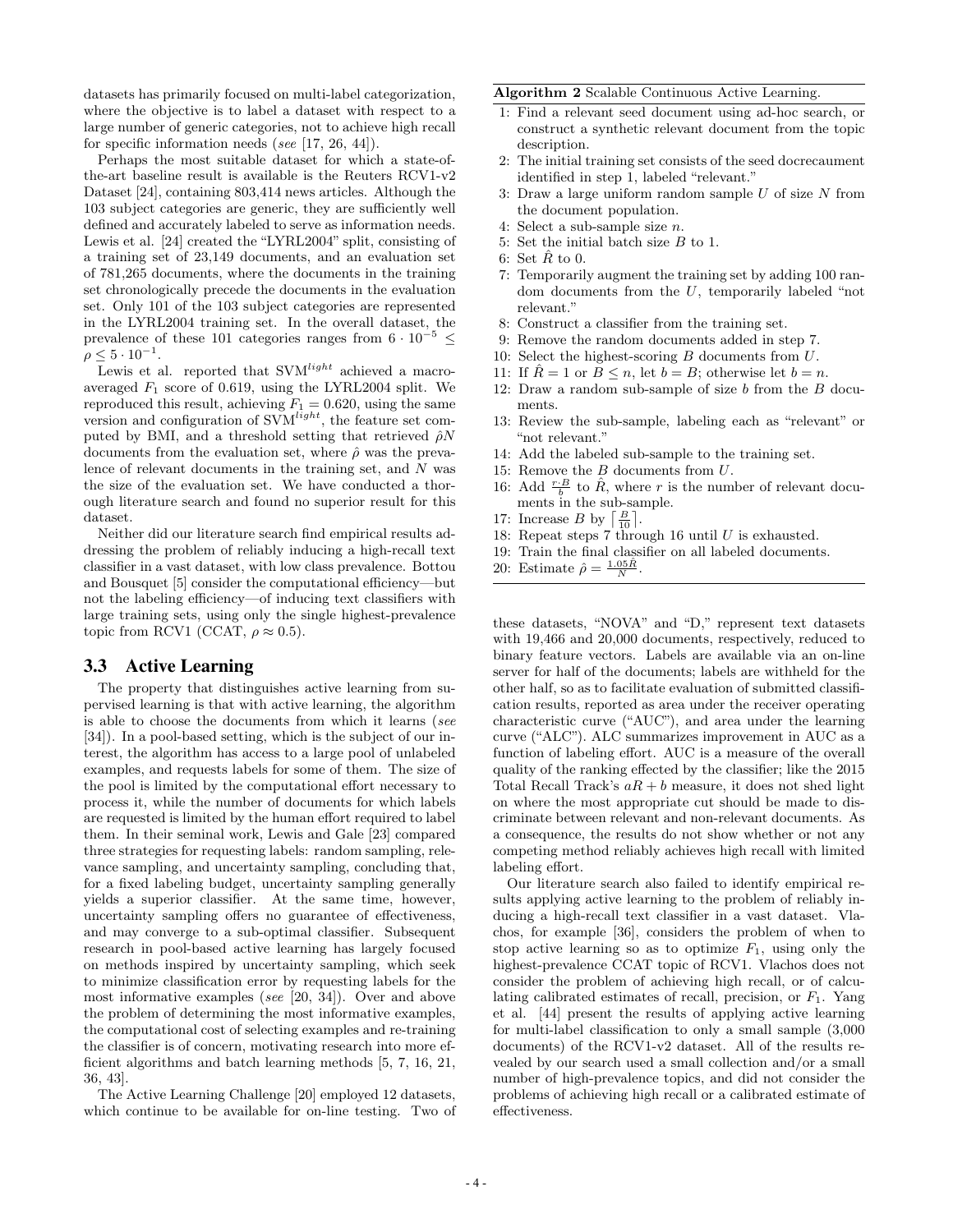datasets has primarily focused on multi-label categorization, where the objective is to label a dataset with respect to a large number of generic categories, not to achieve high recall for specific information needs (see [17, 26, 44]).

Perhaps the most suitable dataset for which a state-ofthe-art baseline result is available is the Reuters RCV1-v2 Dataset [24], containing 803,414 news articles. Although the 103 subject categories are generic, they are sufficiently well defined and accurately labeled to serve as information needs. Lewis et al. [24] created the "LYRL2004" split, consisting of a training set of 23,149 documents, and an evaluation set of 781,265 documents, where the documents in the training set chronologically precede the documents in the evaluation set. Only 101 of the 103 subject categories are represented in the LYRL2004 training set. In the overall dataset, the prevalence of these 101 categories ranges from  $6 \cdot 10^{-5} \le$  $\rho \le 5 \cdot 10^{-1}$ .

Lewis et al. reported that  $SVM<sup>light</sup>$  achieved a macroaveraged  $F_1$  score of 0.619, using the LYRL2004 split. We reproduced this result, achieving  $F_1 = 0.620$ , using the same version and configuration of  $\text{SVM}^{\text{light}}$ , the feature set computed by BMI, and a threshold setting that retrieved  $\hat{\rho}N$ documents from the evaluation set, where  $\hat{\rho}$  was the prevalence of relevant documents in the training set, and N was the size of the evaluation set. We have conducted a thorough literature search and found no superior result for this dataset.

Neither did our literature search find empirical results addressing the problem of reliably inducing a high-recall text classifier in a vast dataset, with low class prevalence. Bottou and Bousquet [5] consider the computational efficiency—but not the labeling efficiency—of inducing text classifiers with large training sets, using only the single highest-prevalence topic from RCV1 (CCAT,  $\rho \approx 0.5$ ).

#### 3.3 Active Learning

The property that distinguishes active learning from supervised learning is that with active learning, the algorithm is able to choose the documents from which it learns (see [34]). In a pool-based setting, which is the subject of our interest, the algorithm has access to a large pool of unlabeled examples, and requests labels for some of them. The size of the pool is limited by the computational effort necessary to process it, while the number of documents for which labels are requested is limited by the human effort required to label them. In their seminal work, Lewis and Gale [23] compared three strategies for requesting labels: random sampling, relevance sampling, and uncertainty sampling, concluding that, for a fixed labeling budget, uncertainty sampling generally yields a superior classifier. At the same time, however, uncertainty sampling offers no guarantee of effectiveness, and may converge to a sub-optimal classifier. Subsequent research in pool-based active learning has largely focused on methods inspired by uncertainty sampling, which seek to minimize classification error by requesting labels for the most informative examples (see [20, 34]). Over and above the problem of determining the most informative examples, the computational cost of selecting examples and re-training the classifier is of concern, motivating research into more efficient algorithms and batch learning methods [5, 7, 16, 21, 36, 43].

The Active Learning Challenge [20] employed 12 datasets, which continue to be available for on-line testing. Two of

#### Algorithm 2 Scalable Continuous Active Learning.

- 1: Find a relevant seed document using ad-hoc search, or construct a synthetic relevant document from the topic description.
- 2: The initial training set consists of the seed docrecaument identified in step 1, labeled "relevant."
- 3: Draw a large uniform random sample  $U$  of size  $N$  from the document population.
- 4: Select a sub-sample size n.
- 5: Set the initial batch size B to 1.
- 6: Set  $R$  to 0.
- 7: Temporarily augment the training set by adding 100 random documents from the U, temporarily labeled "not relevant."
- 8: Construct a classifier from the training set.
- 9: Remove the random documents added in step 7.
- 10: Select the highest-scoring  $B$  documents from  $U$ .
- 11: If  $R = 1$  or  $B \le n$ , let  $b = B$ ; otherwise let  $b = n$ .
- 12: Draw a random sub-sample of size b from the B documents.
- 13: Review the sub-sample, labeling each as "relevant" or "not relevant."
- 14: Add the labeled sub-sample to the training set.
- 15: Remove the  $B$  documents from  $U$ .
- 16: Add  $\frac{r \cdot B}{b}$  to  $\hat{R}$ , where r is the number of relevant documents in the sub-sample.
- 17: Increase  $B$  by  $\left\lceil \frac{B}{10} \right\rceil$ .
- 18: Repeat steps 7 through 16 until  $U$  is exhausted.
- 19: Train the final classifier on all labeled documents.
- 20: Estimate  $\hat{\rho} = \frac{1.05 \hat{R}}{N}$ .

these datasets, "NOVA" and "D," represent text datasets with 19,466 and 20,000 documents, respectively, reduced to binary feature vectors. Labels are available via an on-line server for half of the documents; labels are withheld for the other half, so as to facilitate evaluation of submitted classification results, reported as area under the receiver operating characteristic curve ("AUC"), and area under the learning curve ("ALC"). ALC summarizes improvement in AUC as a function of labeling effort. AUC is a measure of the overall quality of the ranking effected by the classifier; like the 2015 Total Recall Track's  $aR + b$  measure, it does not shed light on where the most appropriate cut should be made to discriminate between relevant and non-relevant documents. As a consequence, the results do not show whether or not any competing method reliably achieves high recall with limited labeling effort.

Our literature search also failed to identify empirical results applying active learning to the problem of reliably inducing a high-recall text classifier in a vast dataset. Vlachos, for example [36], considers the problem of when to stop active learning so as to optimize  $F_1$ , using only the highest-prevalence CCAT topic of RCV1. Vlachos does not consider the problem of achieving high recall, or of calculating calibrated estimates of recall, precision, or  $F_1$ . Yang et al. [44] present the results of applying active learning for multi-label classification to only a small sample (3,000 documents) of the RCV1-v2 dataset. All of the results revealed by our search used a small collection and/or a small number of high-prevalence topics, and did not consider the problems of achieving high recall or a calibrated estimate of effectiveness.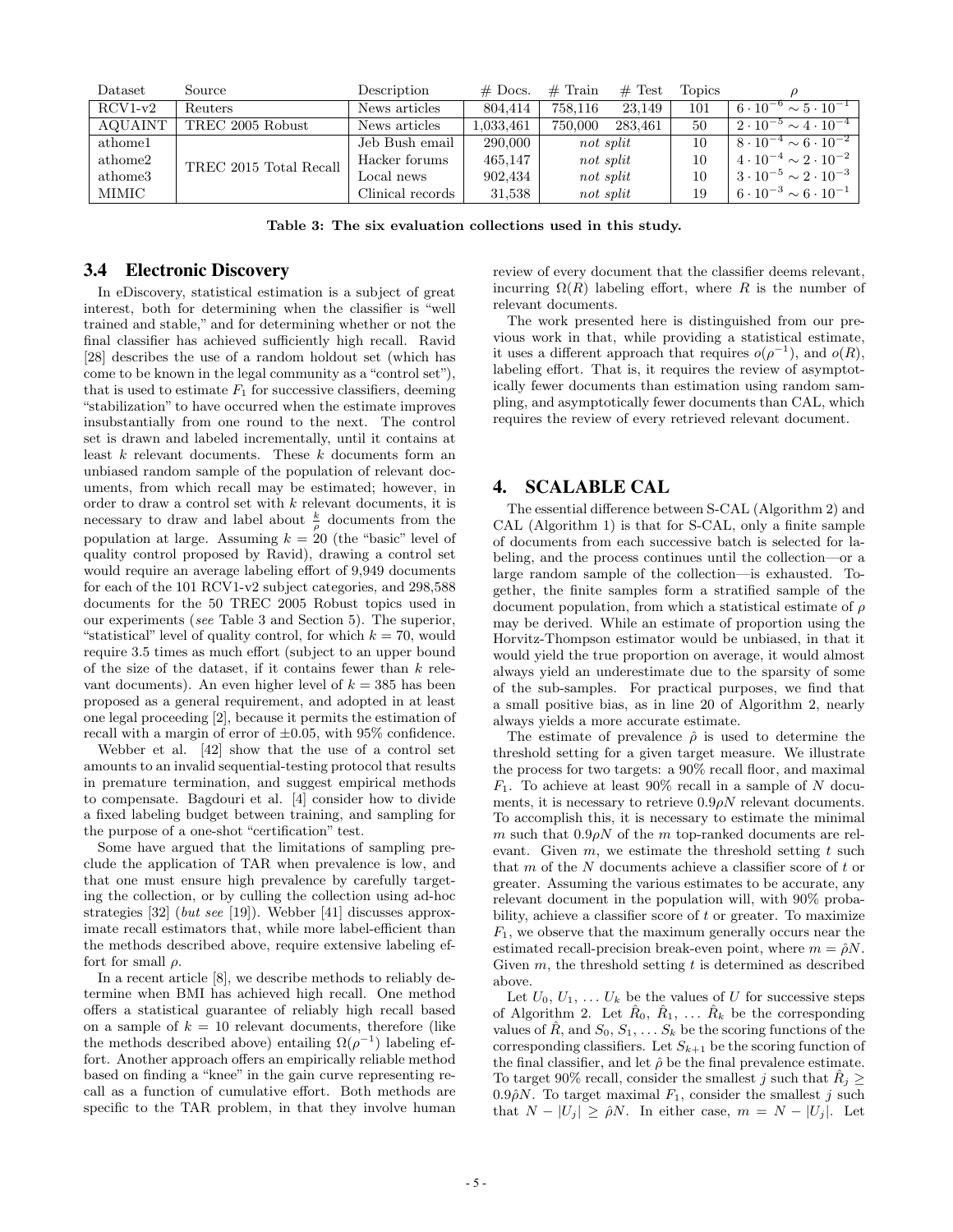| Dataset             | Source                 | Description      | $\#$ Docs. | $#$ Train | $#$ Test | <b>Topics</b> |                                        |
|---------------------|------------------------|------------------|------------|-----------|----------|---------------|----------------------------------------|
| $RCV1-v2$           | <b>Reuters</b>         | News articles    | 804.414    | 758.116   | 23.149   | 101           | $6 \cdot 10^{-6} \sim 5 \cdot 10^{-1}$ |
| AQUAINT             | TREC 2005 Robust       | News articles    | 1,033,461  | 750,000   | 283.461  | 50            | $2 \cdot 10^{-5} \sim 4 \cdot 10^{-4}$ |
| athome1             |                        | Jeb Bush email   | 290,000    | not split |          | 10            | $8 \cdot 10^{-4} \sim 6 \cdot 10^{-2}$ |
| athome2             | TREC 2015 Total Recall | Hacker forums    | 465.147    | not split |          | 10            | $4 \cdot 10^{-4} \sim 2 \cdot 10^{-2}$ |
| athome <sub>3</sub> |                        | Local news       | 902,434    | not split |          | 10            | $3 \cdot 10^{-5} \sim 2 \cdot 10^{-3}$ |
| MIMIC               |                        | Clinical records | 31,538     | not split |          | 19            | $6 \cdot 10^{-3} \sim 6 \cdot 10^{-1}$ |

Table 3: The six evaluation collections used in this study.

#### 3.4 Electronic Discovery

In eDiscovery, statistical estimation is a subject of great interest, both for determining when the classifier is "well trained and stable," and for determining whether or not the final classifier has achieved sufficiently high recall. Ravid [28] describes the use of a random holdout set (which has come to be known in the legal community as a "control set"), that is used to estimate  $F_1$  for successive classifiers, deeming "stabilization" to have occurred when the estimate improves insubstantially from one round to the next. The control set is drawn and labeled incrementally, until it contains at least  $k$  relevant documents. These  $k$  documents form an unbiased random sample of the population of relevant documents, from which recall may be estimated; however, in order to draw a control set with  $k$  relevant documents, it is necessary to draw and label about  $\frac{k}{\rho}$  documents from the population at large. Assuming  $k = 20$  (the "basic" level of quality control proposed by Ravid), drawing a control set would require an average labeling effort of 9,949 documents for each of the 101 RCV1-v2 subject categories, and 298,588 documents for the 50 TREC 2005 Robust topics used in our experiments (see Table 3 and Section 5). The superior, "statistical" level of quality control, for which  $k = 70$ , would require 3.5 times as much effort (subject to an upper bound of the size of the dataset, if it contains fewer than  $k$  relevant documents). An even higher level of  $k = 385$  has been proposed as a general requirement, and adopted in at least one legal proceeding [2], because it permits the estimation of recall with a margin of error of  $\pm 0.05$ , with 95% confidence.

Webber et al. [42] show that the use of a control set amounts to an invalid sequential-testing protocol that results in premature termination, and suggest empirical methods to compensate. Bagdouri et al. [4] consider how to divide a fixed labeling budget between training, and sampling for the purpose of a one-shot "certification" test.

Some have argued that the limitations of sampling preclude the application of TAR when prevalence is low, and that one must ensure high prevalence by carefully targeting the collection, or by culling the collection using ad-hoc strategies [32] (but see [19]). Webber [41] discusses approximate recall estimators that, while more label-efficient than the methods described above, require extensive labeling effort for small  $\rho$ .

In a recent article [8], we describe methods to reliably determine when BMI has achieved high recall. One method offers a statistical guarantee of reliably high recall based on a sample of  $k = 10$  relevant documents, therefore (like the methods described above) entailing  $\Omega(\rho^{-1})$  labeling effort. Another approach offers an empirically reliable method based on finding a "knee" in the gain curve representing recall as a function of cumulative effort. Both methods are specific to the TAR problem, in that they involve human review of every document that the classifier deems relevant, incurring  $\Omega(R)$  labeling effort, where R is the number of relevant documents.

The work presented here is distinguished from our previous work in that, while providing a statistical estimate, it uses a different approach that requires  $o(\rho^{-1})$ , and  $o(R)$ , labeling effort. That is, it requires the review of asymptotically fewer documents than estimation using random sampling, and asymptotically fewer documents than CAL, which requires the review of every retrieved relevant document.

# 4. SCALABLE CAL

The essential difference between S-CAL (Algorithm 2) and CAL (Algorithm 1) is that for S-CAL, only a finite sample of documents from each successive batch is selected for labeling, and the process continues until the collection—or a large random sample of the collection—is exhausted. Together, the finite samples form a stratified sample of the document population, from which a statistical estimate of  $\rho$ may be derived. While an estimate of proportion using the Horvitz-Thompson estimator would be unbiased, in that it would yield the true proportion on average, it would almost always yield an underestimate due to the sparsity of some of the sub-samples. For practical purposes, we find that a small positive bias, as in line 20 of Algorithm 2, nearly always yields a more accurate estimate.

The estimate of prevalence  $\hat{\rho}$  is used to determine the threshold setting for a given target measure. We illustrate the process for two targets: a 90% recall floor, and maximal  $F_1$ . To achieve at least 90% recall in a sample of N documents, it is necessary to retrieve  $0.9\rho N$  relevant documents. To accomplish this, it is necessary to estimate the minimal m such that  $0.9\rho N$  of the m top-ranked documents are relevant. Given  $m$ , we estimate the threshold setting t such that  $m$  of the  $N$  documents achieve a classifier score of  $t$  or greater. Assuming the various estimates to be accurate, any relevant document in the population will, with 90% probability, achieve a classifier score of t or greater. To maximize  $F_1$ , we observe that the maximum generally occurs near the estimated recall-precision break-even point, where  $m = \hat{\rho} N$ . Given  $m$ , the threshold setting  $t$  is determined as described above.

Let  $U_0, U_1, \ldots U_k$  be the values of U for successive steps of Algorithm 2. Let  $R_0, R_1, \ldots, R_k$  be the corresponding values of R, and  $S_0, S_1, \ldots S_k$  be the scoring functions of the corresponding classifiers. Let  $S_{k+1}$  be the scoring function of the final classifier, and let  $\hat{\rho}$  be the final prevalence estimate. To target 90% recall, consider the smallest j such that  $R_j \geq$ 0.9 $\hat{\rho}N$ . To target maximal  $F_1$ , consider the smallest j such that  $N - |U_j| \geq \hat{\rho} N$ . In either case,  $m = N - |U_j|$ . Let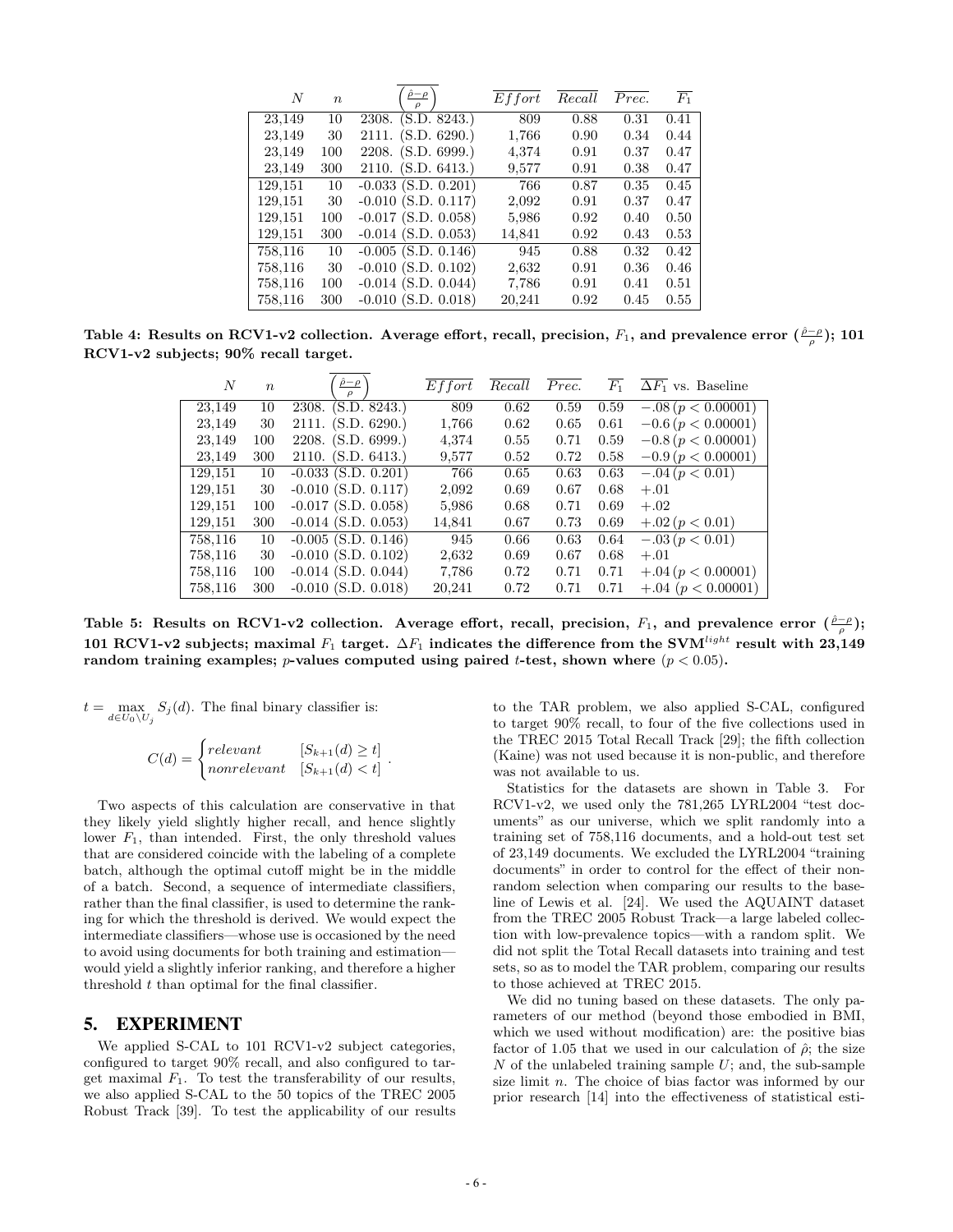| N       | $\boldsymbol{n}$ | $\hat{\rho} - \rho$     | $E$ f fort | Recall | $\overline{P}$ rec. | $\overline{F_1}$ |
|---------|------------------|-------------------------|------------|--------|---------------------|------------------|
| 23,149  | 10               | $2308.$ (S.D. $8243.$ ) | 809        | 0.88   | 0.31                | 0.41             |
| 23,149  | 30               | 2111. (S.D. 6290.)      | 1,766      | 0.90   | 0.34                | 0.44             |
| 23,149  | 100              | $2208.$ (S.D. 6999.)    | 4,374      | 0.91   | 0.37                | 0.47             |
| 23,149  | 300              | $2110.$ (S.D. 6413.)    | 9,577      | 0.91   | 0.38                | 0.47             |
| 129,151 | 10               | $-0.033$ (S.D. 0.201)   | 766        | 0.87   | 0.35                | 0.45             |
| 129,151 | 30               | $-0.010$ (S.D. 0.117)   | 2,092      | 0.91   | 0.37                | 0.47             |
| 129,151 | 100              | $-0.017$ (S.D. 0.058)   | 5,986      | 0.92   | 0.40                | 0.50             |
| 129,151 | 300              | $-0.014$ (S.D. 0.053)   | 14,841     | 0.92   | 0.43                | 0.53             |
| 758,116 | 10               | $-0.005$ (S.D. 0.146)   | 945        | 0.88   | 0.32                | 0.42             |
| 758,116 | 30               | $-0.010$ (S.D. 0.102)   | 2,632      | 0.91   | 0.36                | 0.46             |
| 758,116 | 100              | $-0.014$ (S.D. 0.044)   | 7,786      | 0.91   | 0.41                | 0.51             |
| 758,116 | 300              | $-0.010$ (S.D. 0.018)   | 20,241     | 0.92   | 0.45                | 0.55             |

Table 4: Results on RCV1-v2 collection. Average effort, recall, precision,  $F_1$ , and prevalence error  $(\frac{\hat{\rho}-\rho}{\rho});$  101 RCV1-v2 subjects; 90% recall target.

| $\overline{N}$ | $\boldsymbol{n}$ | $\rho-\rho$           | Effort | Recall | Prec. | $\overline{F_1}$ | $\Delta F_1$ vs. Baseline |
|----------------|------------------|-----------------------|--------|--------|-------|------------------|---------------------------|
| 23,149         | 10               | (S.D. 8243.)<br>2308. | 809    | 0.62   | 0.59  | 0.59             | $-.08 (p < 0.00001)$      |
| 23,149         | 30               | (S.D. 6290.)<br>2111. | 1,766  | 0.62   | 0.65  | 0.61             | $-0.6$ ( $p < 0.00001$ )  |
| 23,149         | 100              | (S.D. 6999.)<br>2208. | 4,374  | 0.55   | 0.71  | 0.59             | $-0.8(p < 0.00001)$       |
| 23,149         | 300              | $2110.$ (S.D. 6413.)  | 9,577  | 0.52   | 0.72  | 0.58             | $-0.9$ ( $p < 0.00001$ )  |
| 129,151        | 10               | $-0.033$ (S.D. 0.201) | 766    | 0.65   | 0.63  | 0.63             | $-.04 (p < 0.01)$         |
| 129,151        | 30               | $-0.010$ (S.D. 0.117) | 2,092  | 0.69   | 0.67  | 0.68             | $+.01$                    |
| 129,151        | 100              | $-0.017$ (S.D. 0.058) | 5,986  | 0.68   | 0.71  | 0.69             | $+.02$                    |
| 129,151        | 300              | $-0.014$ (S.D. 0.053) | 14,841 | 0.67   | 0.73  | 0.69             | $+.02 (p < 0.01)$         |
| 758,116        | 10               | $-0.005$ (S.D. 0.146) | 945    | 0.66   | 0.63  | 0.64             | $-.03 (p < 0.01)$         |
| 758,116        | 30               | $-0.010$ (S.D. 0.102) | 2,632  | 0.69   | 0.67  | 0.68             | $+.01$                    |
| 758,116        | 100              | $-0.014$ (S.D. 0.044) | 7.786  | 0.72   | 0.71  | 0.71             | $+.04 (p < 0.00001)$      |
| 758,116        | 300              | $-0.010$ (S.D. 0.018) | 20,241 | 0.72   | 0.71  | 0.71             | $+.04$ ( $p < 0.00001$ )  |

Table 5: Results on RCV1-v2 collection. Average effort, recall, precision,  $F_1$ , and prevalence error  $(\frac{\hat{\rho}-\rho}{\rho})$ ; 101 RCV1-v2 subjects; maximal  $F_1$  target.  $\Delta F_1$  indicates the difference from the SVM<sup>*light*</sup> result with 23,149 random training examples; *p*-values computed using paired *t*-test, shown where  $(p < 0.05)$ .

.

 $t = \max_{d \in U_0 \setminus U_j} S_j(d)$ . The final binary classifier is:

$$
C(d) = \begin{cases} relevant & [S_{k+1}(d) \ge t] \\ nonrelevant & [S_{k+1}(d) < t] \end{cases}
$$

Two aspects of this calculation are conservative in that they likely yield slightly higher recall, and hence slightly lower  $F_1$ , than intended. First, the only threshold values that are considered coincide with the labeling of a complete batch, although the optimal cutoff might be in the middle of a batch. Second, a sequence of intermediate classifiers, rather than the final classifier, is used to determine the ranking for which the threshold is derived. We would expect the intermediate classifiers—whose use is occasioned by the need to avoid using documents for both training and estimation would yield a slightly inferior ranking, and therefore a higher threshold  $t$  than optimal for the final classifier.

#### 5. EXPERIMENT

We applied S-CAL to 101 RCV1-v2 subject categories, configured to target 90% recall, and also configured to target maximal  $F_1$ . To test the transferability of our results, we also applied S-CAL to the 50 topics of the TREC 2005 Robust Track [39]. To test the applicability of our results to the TAR problem, we also applied S-CAL, configured to target 90% recall, to four of the five collections used in the TREC 2015 Total Recall Track [29]; the fifth collection (Kaine) was not used because it is non-public, and therefore was not available to us.

Statistics for the datasets are shown in Table 3. For RCV1-v2, we used only the 781,265 LYRL2004 "test documents" as our universe, which we split randomly into a training set of 758,116 documents, and a hold-out test set of 23,149 documents. We excluded the LYRL2004 "training documents" in order to control for the effect of their nonrandom selection when comparing our results to the baseline of Lewis et al. [24]. We used the AQUAINT dataset from the TREC 2005 Robust Track—a large labeled collection with low-prevalence topics—with a random split. We did not split the Total Recall datasets into training and test sets, so as to model the TAR problem, comparing our results to those achieved at TREC 2015.

We did no tuning based on these datasets. The only parameters of our method (beyond those embodied in BMI, which we used without modification) are: the positive bias factor of 1.05 that we used in our calculation of  $\hat{\rho}$ ; the size  $N$  of the unlabeled training sample  $U$ ; and, the sub-sample size limit n. The choice of bias factor was informed by our prior research [14] into the effectiveness of statistical esti-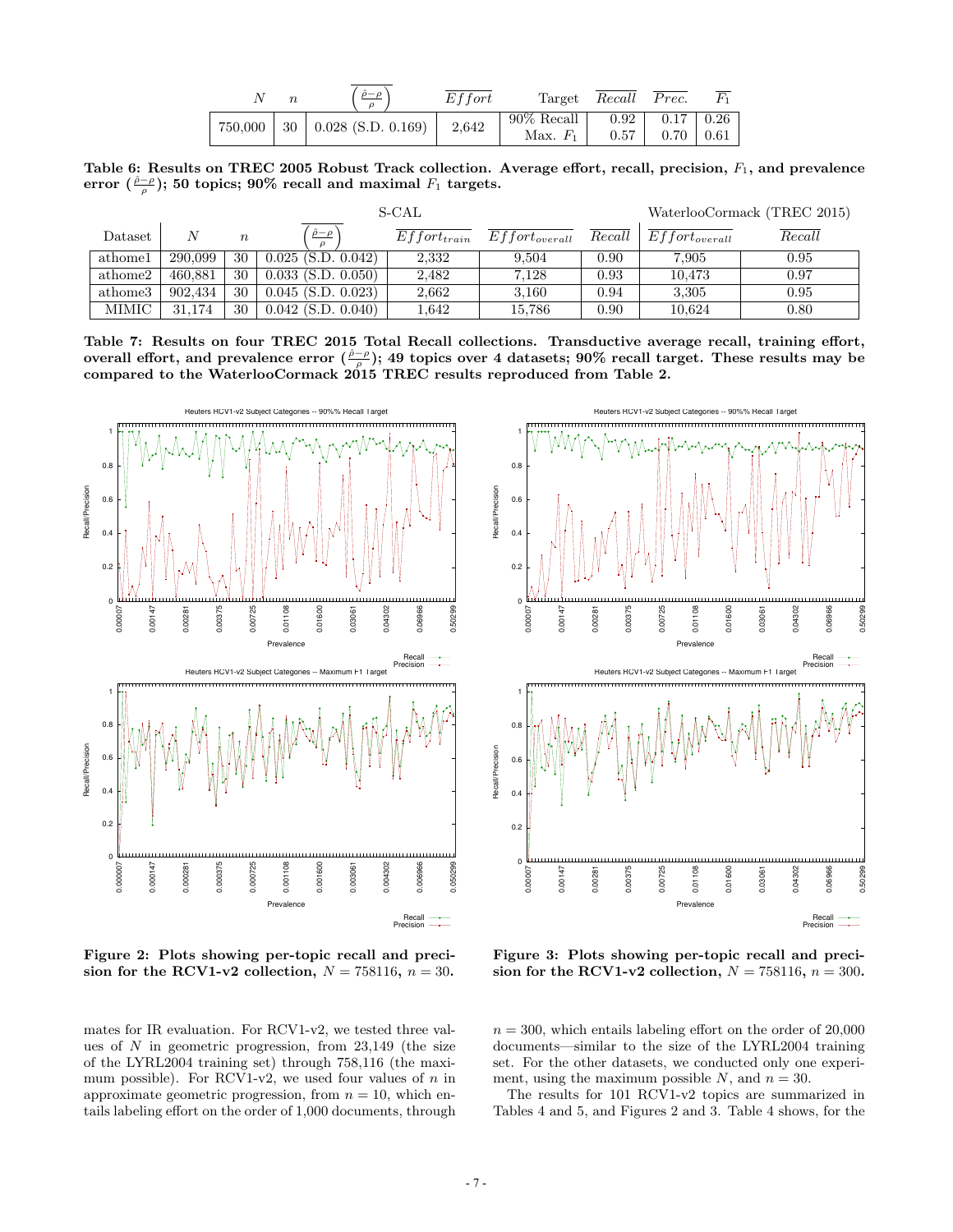|  | $\hat{\rho}-\rho$                           | $E$ f fort |                            | Target Recall Prec. |                                             |  |
|--|---------------------------------------------|------------|----------------------------|---------------------|---------------------------------------------|--|
|  | $750,000$   30   0.028 (S.D. 0.169)   2,642 |            | 90% Recall  <br>Max. $F_1$ | 0.57                | $0.92$   $0.17$   $0.26$<br>$0.70 \pm 0.61$ |  |

Table 6: Results on TREC 2005 Robust Track collection. Average effort, recall, precision,  $F_1$ , and prevalence error  $(\frac{\hat{\rho}-\rho}{\rho});$  50 topics; 90% recall and maximal  $F_1$  targets.

| S-CAL   |                |                  |                         |                  |                    |        | WaterlooCormack (TREC 2015) |        |
|---------|----------------|------------------|-------------------------|------------------|--------------------|--------|-----------------------------|--------|
| Dataset | $\overline{N}$ | $\boldsymbol{n}$ | $\hat{\rho}-\rho$       | $Effort_{train}$ | $Effort_{overall}$ | Recall | $Effort_{overall}$          | Recall |
| athome1 | 290,099        | 30               | $0.025$ (S.D. $0.042$ ) | 2.332            | 9.504              | 0.90   | 7.905                       | 0.95   |
| athome2 | 460.881        | 30               | $0.033$ (S.D. $0.050$ ) | 2.482            | 7.128              | 0.93   | 10.473                      | 0.97   |
| athome3 | 902,434        | 30               | $0.045$ (S.D. $0.023$ ) | 2.662            | 3.160              | 0.94   | 3,305                       | 0.95   |
| MIMIC   | 31.174         | 30               | $0.042$ (S.D. $0.040$ ) | 1.642            | 15,786             | 0.90   | 10.624                      | 0.80   |

Table 7: Results on four TREC 2015 Total Recall collections. Transductive average recall, training effort, overall effort, and prevalence error  $(\frac{\hat{\rho}-\rho}{\rho});$  49 topics over 4 datasets; 90% recall target. These results may be compared to the WaterlooCormack 2015 TREC results reproduced from Table 2.



Figure 2: Plots showing per-topic recall and precision for the RCV1-v2 collection,  $N = 758116$ ,  $n = 30$ .

mates for IR evaluation. For RCV1-v2, we tested three values of  $N$  in geometric progression, from 23,149 (the size of the LYRL2004 training set) through 758,116 (the maximum possible). For RCV1-v2, we used four values of  $n$  in approximate geometric progression, from  $n = 10$ , which en-



Figure 3: Plots showing per-topic recall and precision for the RCV1-v2 collection,  $N = 758116$ ,  $n = 300$ .

 $n = 300$ , which entails labeling effort on the order of 20,000 documents—similar to the size of the LYRL2004 training set. For the other datasets, we conducted only one experiment, using the maximum possible  $N$ , and  $n = 30$ .

The results for 101 RCV1-v2 topics are summarized in Tables 4 and 5, and Figures 2 and 3. Table 4 shows, for the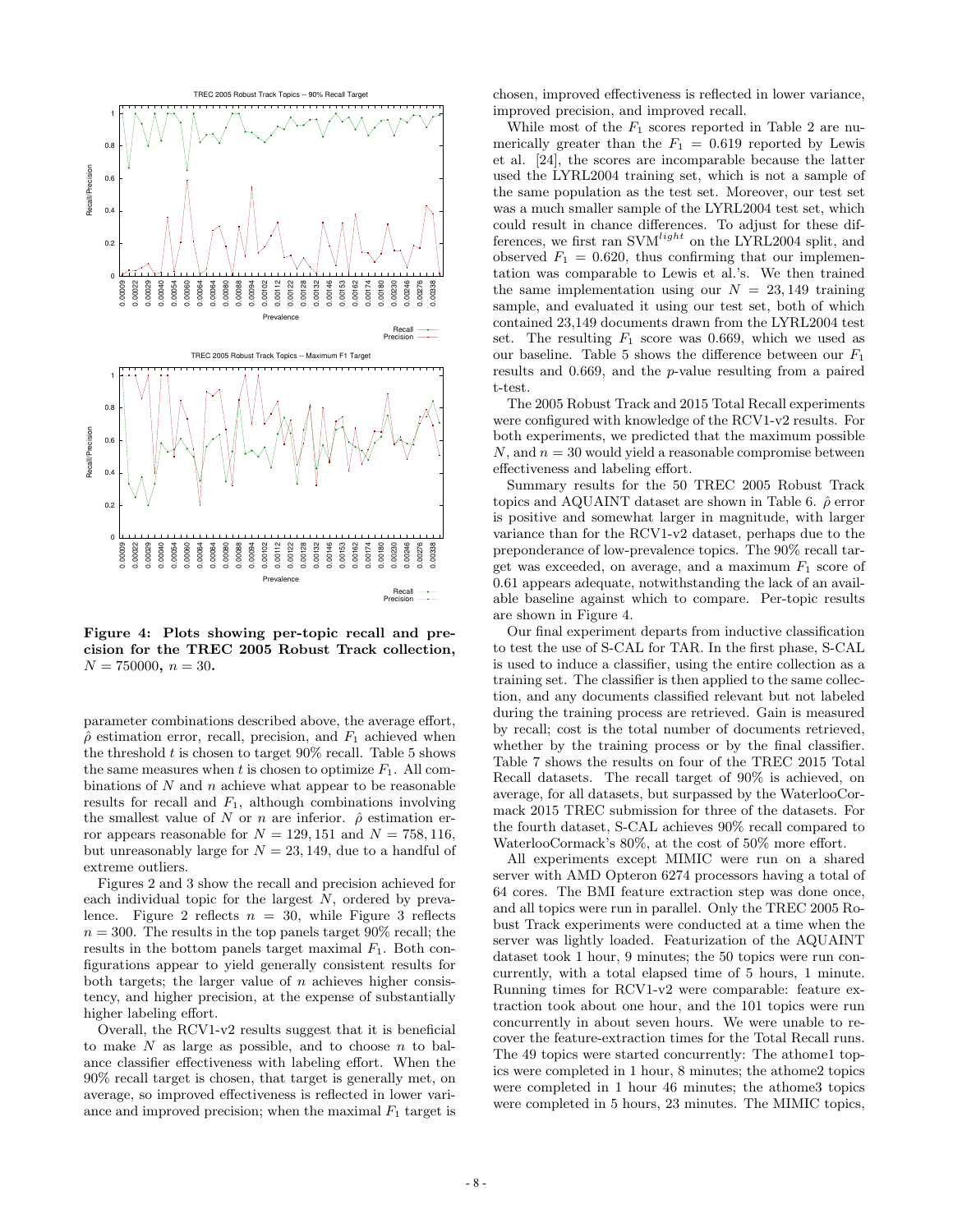

Figure 4: Plots showing per-topic recall and precision for the TREC 2005 Robust Track collection,  $N = 750000, n = 30.$ 

parameter combinations described above, the average effort,  $\hat{\rho}$  estimation error, recall, precision, and  $F_1$  achieved when the threshold  $t$  is chosen to target 90% recall. Table 5 shows the same measures when t is chosen to optimize  $F_1$ . All combinations of  $N$  and  $n$  achieve what appear to be reasonable results for recall and  $F_1$ , although combinations involving the smallest value of N or n are inferior.  $\hat{\rho}$  estimation error appears reasonable for  $N = 129, 151$  and  $N = 758, 116$ , but unreasonably large for  $N = 23, 149$ , due to a handful of extreme outliers.

Figures 2 and 3 show the recall and precision achieved for each individual topic for the largest  $N$ , ordered by prevalence. Figure 2 reflects  $n = 30$ , while Figure 3 reflects  $n = 300$ . The results in the top panels target 90% recall; the results in the bottom panels target maximal  $F_1$ . Both configurations appear to yield generally consistent results for both targets; the larger value of  $n$  achieves higher consistency, and higher precision, at the expense of substantially higher labeling effort.

Overall, the RCV1-v2 results suggest that it is beneficial to make  $N$  as large as possible, and to choose  $n$  to balance classifier effectiveness with labeling effort. When the 90% recall target is chosen, that target is generally met, on average, so improved effectiveness is reflected in lower variance and improved precision; when the maximal  $F_1$  target is chosen, improved effectiveness is reflected in lower variance, improved precision, and improved recall.

While most of the  $F_1$  scores reported in Table 2 are numerically greater than the  $F_1 = 0.619$  reported by Lewis et al. [24], the scores are incomparable because the latter used the LYRL2004 training set, which is not a sample of the same population as the test set. Moreover, our test set was a much smaller sample of the LYRL2004 test set, which could result in chance differences. To adjust for these differences, we first ran  $SVM<sup>light</sup>$  on the LYRL2004 split, and observed  $F_1 = 0.620$ , thus confirming that our implementation was comparable to Lewis et al.'s. We then trained the same implementation using our  $N = 23,149$  training sample, and evaluated it using our test set, both of which contained 23,149 documents drawn from the LYRL2004 test set. The resulting  $F_1$  score was 0.669, which we used as our baseline. Table 5 shows the difference between our  $F_1$ results and 0.669, and the p-value resulting from a paired t-test.

The 2005 Robust Track and 2015 Total Recall experiments were configured with knowledge of the RCV1-v2 results. For both experiments, we predicted that the maximum possible  $N$ , and  $n = 30$  would yield a reasonable compromise between effectiveness and labeling effort.

Summary results for the 50 TREC 2005 Robust Track topics and AQUAINT dataset are shown in Table 6.  $\hat{\rho}$  error is positive and somewhat larger in magnitude, with larger variance than for the RCV1-v2 dataset, perhaps due to the preponderance of low-prevalence topics. The 90% recall target was exceeded, on average, and a maximum  $F_1$  score of 0.61 appears adequate, notwithstanding the lack of an available baseline against which to compare. Per-topic results are shown in Figure 4.

Our final experiment departs from inductive classification to test the use of S-CAL for TAR. In the first phase, S-CAL is used to induce a classifier, using the entire collection as a training set. The classifier is then applied to the same collection, and any documents classified relevant but not labeled during the training process are retrieved. Gain is measured by recall; cost is the total number of documents retrieved, whether by the training process or by the final classifier. Table 7 shows the results on four of the TREC 2015 Total Recall datasets. The recall target of 90% is achieved, on average, for all datasets, but surpassed by the WaterlooCormack 2015 TREC submission for three of the datasets. For the fourth dataset, S-CAL achieves 90% recall compared to WaterlooCormack's 80%, at the cost of 50% more effort.

All experiments except MIMIC were run on a shared server with AMD Opteron 6274 processors having a total of 64 cores. The BMI feature extraction step was done once, and all topics were run in parallel. Only the TREC 2005 Robust Track experiments were conducted at a time when the server was lightly loaded. Featurization of the AQUAINT dataset took 1 hour, 9 minutes; the 50 topics were run concurrently, with a total elapsed time of 5 hours, 1 minute. Running times for RCV1-v2 were comparable: feature extraction took about one hour, and the 101 topics were run concurrently in about seven hours. We were unable to recover the feature-extraction times for the Total Recall runs. The 49 topics were started concurrently: The athome1 topics were completed in 1 hour, 8 minutes; the athome2 topics were completed in 1 hour 46 minutes; the athome3 topics were completed in 5 hours, 23 minutes. The MIMIC topics,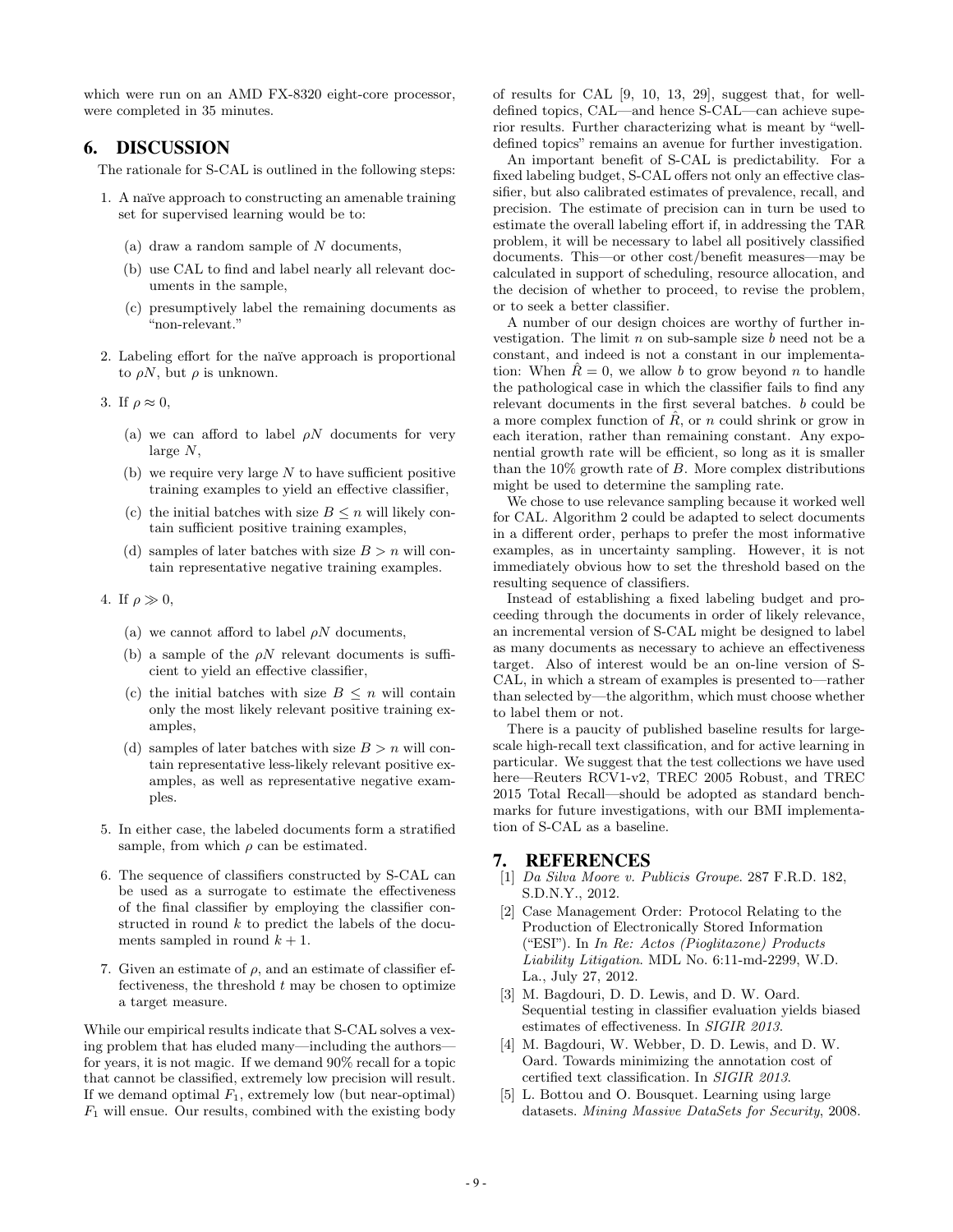which were run on an AMD FX-8320 eight-core processor, were completed in 35 minutes.

#### 6. DISCUSSION

The rationale for S-CAL is outlined in the following steps:

- 1. A naïve approach to constructing an amenable training set for supervised learning would be to:
	- (a) draw a random sample of  $N$  documents,
	- (b) use CAL to find and label nearly all relevant documents in the sample,
	- (c) presumptively label the remaining documents as "non-relevant."
- 2. Labeling effort for the na¨ıve approach is proportional to  $\rho N$ , but  $\rho$  is unknown.
- 3. If  $\rho \approx 0$ ,
	- (a) we can afford to label  $\rho N$  documents for very large N,
	- (b) we require very large  $N$  to have sufficient positive training examples to yield an effective classifier,
	- (c) the initial batches with size  $B \leq n$  will likely contain sufficient positive training examples,
	- (d) samples of later batches with size  $B > n$  will contain representative negative training examples.
- 4. If  $\rho \gg 0$ ,
	- (a) we cannot afford to label  $\rho N$  documents,
	- (b) a sample of the  $\rho N$  relevant documents is sufficient to yield an effective classifier,
	- (c) the initial batches with size  $B \leq n$  will contain only the most likely relevant positive training examples,
	- (d) samples of later batches with size  $B > n$  will contain representative less-likely relevant positive examples, as well as representative negative examples.
- 5. In either case, the labeled documents form a stratified sample, from which  $\rho$  can be estimated.
- 6. The sequence of classifiers constructed by S-CAL can be used as a surrogate to estimate the effectiveness of the final classifier by employing the classifier constructed in round  $k$  to predict the labels of the documents sampled in round  $k + 1$ .
- 7. Given an estimate of  $\rho$ , and an estimate of classifier effectiveness, the threshold  $t$  may be chosen to optimize a target measure.

While our empirical results indicate that S-CAL solves a vexing problem that has eluded many—including the authors for years, it is not magic. If we demand 90% recall for a topic that cannot be classified, extremely low precision will result. If we demand optimal  $F_1$ , extremely low (but near-optimal)  $F_1$  will ensue. Our results, combined with the existing body of results for CAL [9, 10, 13, 29], suggest that, for welldefined topics, CAL—and hence S-CAL—can achieve superior results. Further characterizing what is meant by "welldefined topics" remains an avenue for further investigation.

An important benefit of S-CAL is predictability. For a fixed labeling budget, S-CAL offers not only an effective classifier, but also calibrated estimates of prevalence, recall, and precision. The estimate of precision can in turn be used to estimate the overall labeling effort if, in addressing the TAR problem, it will be necessary to label all positively classified documents. This—or other cost/benefit measures—may be calculated in support of scheduling, resource allocation, and the decision of whether to proceed, to revise the problem, or to seek a better classifier.

A number of our design choices are worthy of further investigation. The limit  $n$  on sub-sample size  $b$  need not be a constant, and indeed is not a constant in our implementation: When  $\ddot{R}=0$ , we allow b to grow beyond n to handle the pathological case in which the classifier fails to find any relevant documents in the first several batches.  $b$  could be a more complex function of  $\hat{R}$ , or n could shrink or grow in each iteration, rather than remaining constant. Any exponential growth rate will be efficient, so long as it is smaller than the  $10\%$  growth rate of B. More complex distributions might be used to determine the sampling rate.

We chose to use relevance sampling because it worked well for CAL. Algorithm 2 could be adapted to select documents in a different order, perhaps to prefer the most informative examples, as in uncertainty sampling. However, it is not immediately obvious how to set the threshold based on the resulting sequence of classifiers.

Instead of establishing a fixed labeling budget and proceeding through the documents in order of likely relevance, an incremental version of S-CAL might be designed to label as many documents as necessary to achieve an effectiveness target. Also of interest would be an on-line version of S-CAL, in which a stream of examples is presented to—rather than selected by—the algorithm, which must choose whether to label them or not.

There is a paucity of published baseline results for largescale high-recall text classification, and for active learning in particular. We suggest that the test collections we have used here—Reuters RCV1-v2, TREC 2005 Robust, and TREC 2015 Total Recall—should be adopted as standard benchmarks for future investigations, with our BMI implementation of S-CAL as a baseline.

### 7. REFERENCES

- [1] Da Silva Moore v. Publicis Groupe. 287 F.R.D. 182, S.D.N.Y., 2012.
- [2] Case Management Order: Protocol Relating to the Production of Electronically Stored Information ("ESI"). In In Re: Actos (Pioglitazone) Products Liability Litigation. MDL No. 6:11-md-2299, W.D. La., July 27, 2012.
- [3] M. Bagdouri, D. D. Lewis, and D. W. Oard. Sequential testing in classifier evaluation yields biased estimates of effectiveness. In SIGIR 2013.
- [4] M. Bagdouri, W. Webber, D. D. Lewis, and D. W. Oard. Towards minimizing the annotation cost of certified text classification. In SIGIR 2013.
- [5] L. Bottou and O. Bousquet. Learning using large datasets. Mining Massive DataSets for Security, 2008.